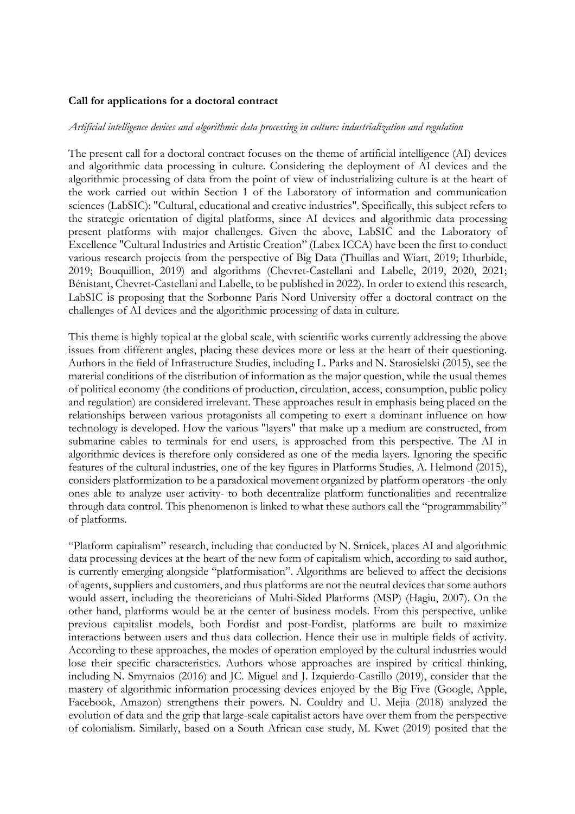## **Call for applications for a doctoral contract**

## *Artificial intelligence devices and algorithmic data processing in culture: industrialization and regulation*

The present call for a doctoral contract focuses on the theme of artificial intelligence (AI) devices and algorithmic data processing in culture. Considering the deployment of AI devices and the algorithmic processing of data from the point of view of industrializing culture is at the heart of the work carried out within Section 1 of the Laboratory of information and communication sciences (LabSIC): "Cultural, educational and creative industries". Specifically, this subject refers to the strategic orientation of digital platforms, since AI devices and algorithmic data processing present platforms with major challenges. Given the above, LabSIC and the Laboratory of Excellence "Cultural Industries and Artistic Creation" (Labex ICCA) have been the first to conduct various research projects from the perspective of Big Data (Thuillas and Wiart, 2019; Ithurbide, 2019; Bouquillion, 2019) and algorithms (Chevret-Castellani and Labelle, 2019, 2020, 2021; Bénistant, Chevret-Castellani and Labelle, to be published in 2022). In order to extend this research, LabSIC is proposing that the Sorbonne Paris Nord University offer a doctoral contract on the challenges of AI devices and the algorithmic processing of data in culture.

This theme is highly topical at the global scale, with scientific works currently addressing the above issues from different angles, placing these devices more or less at the heart of their questioning. Authors in the field of Infrastructure Studies, including L. Parks and N. Starosielski (2015), see the material conditions of the distribution of information as the major question, while the usual themes of political economy (the conditions of production, circulation, access, consumption, public policy and regulation) are considered irrelevant. These approaches result in emphasis being placed on the relationships between various protagonists all competing to exert a dominant influence on how technology is developed. How the various "layers" that make up a medium are constructed, from submarine cables to terminals for end users, is approached from this perspective. The AI in algorithmic devices is therefore only considered as one of the media layers. Ignoring the specific features of the cultural industries, one of the key figures in Platforms Studies, A. Helmond (2015), considers platformization to be a paradoxical movement organized by platform operators -the only ones able to analyze user activity- to both decentralize platform functionalities and recentralize through data control. This phenomenon is linked to what these authors call the "programmability" of platforms.

"Platform capitalism" research, including that conducted by N. Srnicek, places AI and algorithmic data processing devices at the heart of the new form of capitalism which, according to said author, is currently emerging alongside "platformisation". Algorithms are believed to affect the decisions of agents, suppliers and customers, and thus platforms are not the neutral devices that some authors would assert, including the theoreticians of Multi-Sided Platforms (MSP) (Hagiu, 2007). On the other hand, platforms would be at the center of business models. From this perspective, unlike previous capitalist models, both Fordist and post-Fordist, platforms are built to maximize interactions between users and thus data collection. Hence their use in multiple fields of activity. According to these approaches, the modes of operation employed by the cultural industries would lose their specific characteristics. Authors whose approaches are inspired by critical thinking, including N. Smyrnaios (2016) and JC. Miguel and J. Izquierdo-Castillo (2019), consider that the mastery of algorithmic information processing devices enjoyed by the Big Five (Google, Apple, Facebook, Amazon) strengthens their powers. N. Couldry and U. Mejia (2018) analyzed the evolution of data and the grip that large-scale capitalist actors have over them from the perspective of colonialism. Similarly, based on a South African case study, M. Kwet (2019) posited that the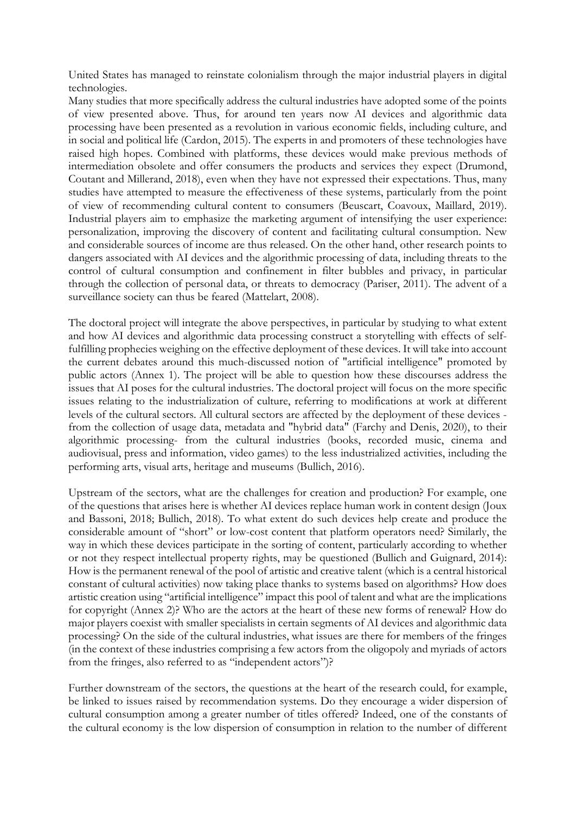United States has managed to reinstate colonialism through the major industrial players in digital technologies.

Many studies that more specifically address the cultural industries have adopted some of the points of view presented above. Thus, for around ten years now AI devices and algorithmic data processing have been presented as a revolution in various economic fields, including culture, and in social and political life (Cardon, 2015). The experts in and promoters of these technologies have raised high hopes. Combined with platforms, these devices would make previous methods of intermediation obsolete and offer consumers the products and services they expect (Drumond, Coutant and Millerand, 2018), even when they have not expressed their expectations. Thus, many studies have attempted to measure the effectiveness of these systems, particularly from the point of view of recommending cultural content to consumers (Beuscart, Coavoux, Maillard, 2019). Industrial players aim to emphasize the marketing argument of intensifying the user experience: personalization, improving the discovery of content and facilitating cultural consumption. New and considerable sources of income are thus released. On the other hand, other research points to dangers associated with AI devices and the algorithmic processing of data, including threats to the control of cultural consumption and confinement in filter bubbles and privacy, in particular through the collection of personal data, or threats to democracy (Pariser, 2011). The advent of a surveillance society can thus be feared (Mattelart, 2008).

The doctoral project will integrate the above perspectives, in particular by studying to what extent and how AI devices and algorithmic data processing construct a storytelling with effects of selffulfilling prophecies weighing on the effective deployment of these devices. It will take into account the current debates around this much-discussed notion of "artificial intelligence" promoted by public actors (Annex 1). The project will be able to question how these discourses address the issues that AI poses for the cultural industries. The doctoral project will focus on the more specific issues relating to the industrialization of culture, referring to modifications at work at different levels of the cultural sectors. All cultural sectors are affected by the deployment of these devices from the collection of usage data, metadata and "hybrid data" (Farchy and Denis, 2020), to their algorithmic processing- from the cultural industries (books, recorded music, cinema and audiovisual, press and information, video games) to the less industrialized activities, including the performing arts, visual arts, heritage and museums (Bullich, 2016).

Upstream of the sectors, what are the challenges for creation and production? For example, one of the questions that arises here is whether AI devices replace human work in content design (Joux and Bassoni, 2018; Bullich, 2018). To what extent do such devices help create and produce the considerable amount of "short" or low-cost content that platform operators need? Similarly, the way in which these devices participate in the sorting of content, particularly according to whether or not they respect intellectual property rights, may be questioned (Bullich and Guignard, 2014): How is the permanent renewal of the pool of artistic and creative talent (which is a central historical constant of cultural activities) now taking place thanks to systems based on algorithms? How does artistic creation using "artificial intelligence" impact this pool of talent and what are the implications for copyright (Annex 2)? Who are the actors at the heart of these new forms of renewal? How do major players coexist with smaller specialists in certain segments of AI devices and algorithmic data processing? On the side of the cultural industries, what issues are there for members of the fringes (in the context of these industries comprising a few actors from the oligopoly and myriads of actors from the fringes, also referred to as "independent actors")?

Further downstream of the sectors, the questions at the heart of the research could, for example, be linked to issues raised by recommendation systems. Do they encourage a wider dispersion of cultural consumption among a greater number of titles offered? Indeed, one of the constants of the cultural economy is the low dispersion of consumption in relation to the number of different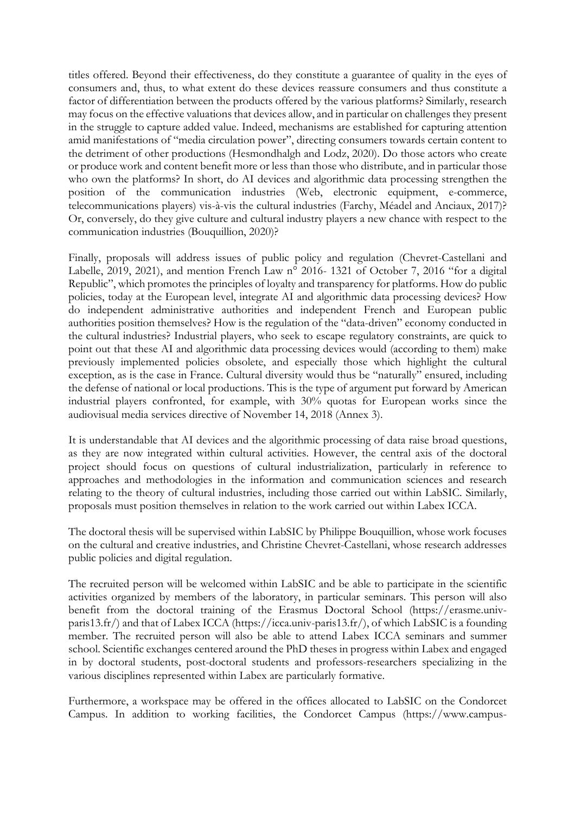titles offered. Beyond their effectiveness, do they constitute a guarantee of quality in the eyes of consumers and, thus, to what extent do these devices reassure consumers and thus constitute a factor of differentiation between the products offered by the various platforms? Similarly, research may focus on the effective valuations that devices allow, and in particular on challenges they present in the struggle to capture added value. Indeed, mechanisms are established for capturing attention amid manifestations of "media circulation power", directing consumers towards certain content to the detriment of other productions (Hesmondhalgh and Lodz, 2020). Do those actors who create or produce work and content benefit more or less than those who distribute, and in particular those who own the platforms? In short, do AI devices and algorithmic data processing strengthen the position of the communication industries (Web, electronic equipment, e-commerce, telecommunications players) vis-à-vis the cultural industries (Farchy, Méadel and Anciaux, 2017)? Or, conversely, do they give culture and cultural industry players a new chance with respect to the communication industries (Bouquillion, 2020)?

Finally, proposals will address issues of public policy and regulation (Chevret-Castellani and Labelle, 2019, 2021), and mention French Law n° 2016- 1321 of October 7, 2016 "for a digital Republic", which promotes the principles of loyalty and transparency for platforms. How do public policies, today at the European level, integrate AI and algorithmic data processing devices? How do independent administrative authorities and independent French and European public authorities position themselves? How is the regulation of the "data-driven" economy conducted in the cultural industries? Industrial players, who seek to escape regulatory constraints, are quick to point out that these AI and algorithmic data processing devices would (according to them) make previously implemented policies obsolete, and especially those which highlight the cultural exception, as is the case in France. Cultural diversity would thus be "naturally" ensured, including the defense of national or local productions. This is the type of argument put forward by American industrial players confronted, for example, with 30% quotas for European works since the audiovisual media services directive of November 14, 2018 (Annex 3).

It is understandable that AI devices and the algorithmic processing of data raise broad questions, as they are now integrated within cultural activities. However, the central axis of the doctoral project should focus on questions of cultural industrialization, particularly in reference to approaches and methodologies in the information and communication sciences and research relating to the theory of cultural industries, including those carried out within LabSIC. Similarly, proposals must position themselves in relation to the work carried out within Labex ICCA.

The doctoral thesis will be supervised within LabSIC by Philippe Bouquillion, whose work focuses on the cultural and creative industries, and Christine Chevret-Castellani, whose research addresses public policies and digital regulation.

The recruited person will be welcomed within LabSIC and be able to participate in the scientific activities organized by members of the laboratory, in particular seminars. This person will also benefit from the doctoral training of the Erasmus Doctoral School (https://erasme.univparis13.fr/) and that of Labex ICCA (https://icca.univ-paris13.fr/), of which LabSIC is a founding member. The recruited person will also be able to attend Labex ICCA seminars and summer school. Scientific exchanges centered around the PhD theses in progress within Labex and engaged in by doctoral students, post-doctoral students and professors-researchers specializing in the various disciplines represented within Labex are particularly formative.

Furthermore, a workspace may be offered in the offices allocated to LabSIC on the Condorcet Campus. In addition to working facilities, the Condorcet Campus (https://www.campus-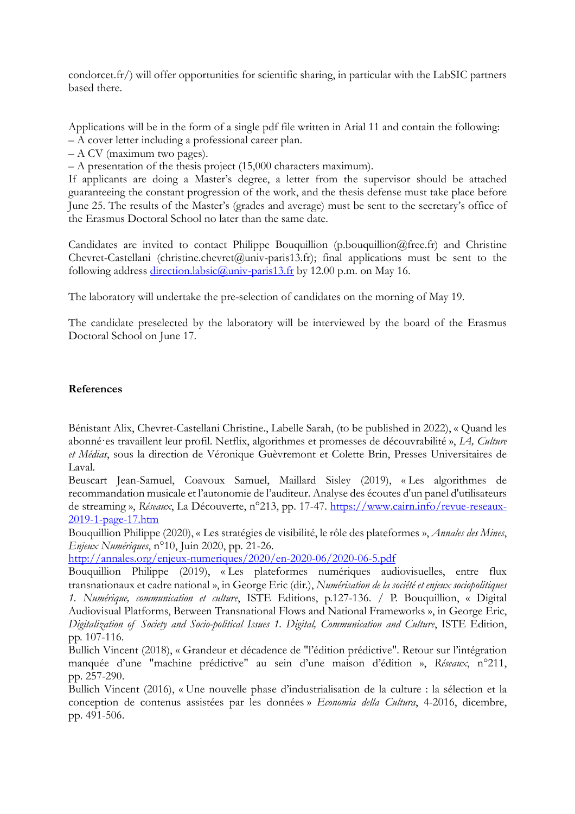condorcet.fr/) will offer opportunities for scientific sharing, in particular with the LabSIC partners based there.

Applications will be in the form of a single pdf file written in Arial 11 and contain the following:

– A cover letter including a professional career plan.

– A CV (maximum two pages).

– A presentation of the thesis project (15,000 characters maximum).

If applicants are doing a Master's degree, a letter from the supervisor should be attached guaranteeing the constant progression of the work, and the thesis defense must take place before June 25. The results of the Master's (grades and average) must be sent to the secretary's office of the Erasmus Doctoral School no later than the same date.

Candidates are invited to contact Philippe Bouquillion (p.bouquillion@free.fr) and Christine Chevret-Castellani (christine.chevret@univ-paris13.fr); final applications must be sent to the following address direction.labsic@univ-paris13.fr by 12.00 p.m. on May 16.

The laboratory will undertake the pre-selection of candidates on the morning of May 19.

The candidate preselected by the laboratory will be interviewed by the board of the Erasmus Doctoral School on June 17.

## **References**

Bénistant Alix, Chevret-Castellani Christine., Labelle Sarah, (to be published in 2022), « Quand les abonné·es travaillent leur profil. Netflix, algorithmes et promesses de découvrabilité », *IA, Culture et Médias*, sous la direction de Véronique Guèvremont et Colette Brin, Presses Universitaires de Laval.

Beuscart Jean-Samuel, Coavoux Samuel, Maillard Sisley (2019), « Les algorithmes de recommandation musicale et l'autonomie de l'auditeur. Analyse des écoutes d'un panel d'utilisateurs de streaming », *Réseaux*, La Découverte, n°213, pp. 17-47. https://www.cairn.info/revue-reseaux-2019-1-page-17.htm

Bouquillion Philippe (2020), « Les stratégies de visibilité, le rôle des plateformes », *Annales des Mines*, *Enjeux Numériques*, n°10, Juin 2020, pp. 21-26.

http://annales.org/enjeux-numeriques/2020/en-2020-06/2020-06-5.pdf

Bouquillion Philippe (2019), « Les plateformes numériques audiovisuelles, entre flux transnationaux et cadre national », in George Eric (dir.), *Numérisation de la société et enjeux sociopolitiques 1. Numérique, communication et culture*, ISTE Editions, p.127-136. / P. Bouquillion, « Digital Audiovisual Platforms, Between Transnational Flows and National Frameworks », in George Eric, *Digitalization of Society and Socio-political Issues 1. Digital, Communication and Culture*, ISTE Edition, pp. 107-116.

Bullich Vincent (2018), « Grandeur et décadence de "l'édition prédictive". Retour sur l'intégration manquée d'une "machine prédictive" au sein d'une maison d'édition », *Réseaux*, n°211, pp. 257-290.

Bullich Vincent (2016), « Une nouvelle phase d'industrialisation de la culture : la sélection et la conception de contenus assistées par les données » *Economia della Cultura*, 4-2016, dicembre, pp. 491-506.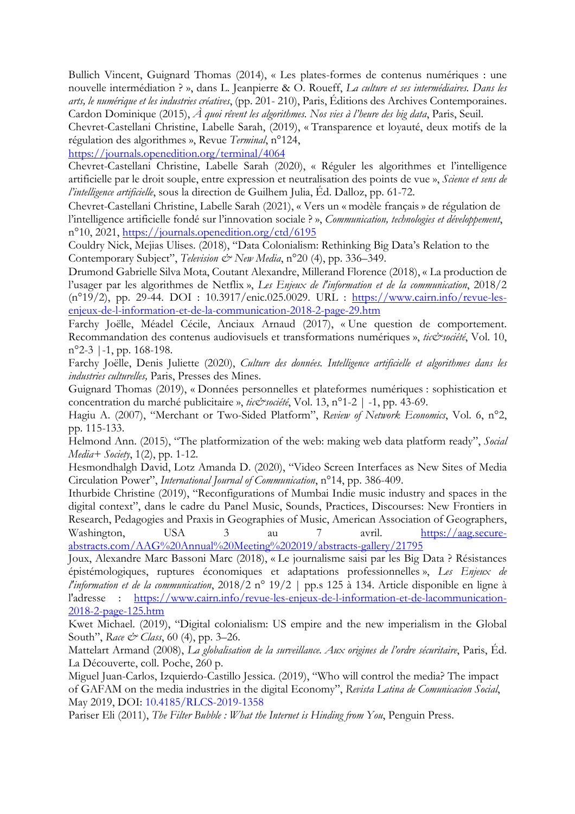Bullich Vincent, Guignard Thomas (2014), « Les plates-formes de contenus numériques : une nouvelle intermédiation ? », dans L. Jeanpierre & O. Roueff, *La culture et ses intermédiaires. Dans les arts, le numérique et les industries créatives*, (pp. 201- 210), Paris, Éditions des Archives Contemporaines. Cardon Dominique (2015), *À quoi rêvent les algorithmes. Nos vies à l'heure des big data*, Paris, Seuil.

Chevret-Castellani Christine, Labelle Sarah, (2019), « Transparence et loyauté, deux motifs de la régulation des algorithmes », Revue *Terminal*, n°124,

https://journals.openedition.org/terminal/4064

Chevret-Castellani Christine, Labelle Sarah (2020), « Réguler les algorithmes et l'intelligence artificielle par le droit souple, entre expression et neutralisation des points de vue », *Science et sens de l'intelligence artificielle*, sous la direction de Guilhem Julia, Éd. Dalloz, pp. 61-72.

Chevret-Castellani Christine, Labelle Sarah (2021), « Vers un « modèle français » de régulation de l'intelligence artificielle fondé sur l'innovation sociale ? », *Communication, technologies et développement*, n°10, 2021, https://journals.openedition.org/ctd/6195

Couldry Nick, Mejias Ulises. (2018), "Data Colonialism: Rethinking Big Data's Relation to the Contemporary Subject", *Television & New Media*, n°20 (4), pp. 336–349.

Drumond Gabrielle Silva Mota, Coutant Alexandre, Millerand Florence (2018), « La production de l'usager par les algorithmes de Netflix », *Les Enjeux de l'information et de la communication*, 2018/2 (n°19/2), pp. 29-44. DOI : 10.3917/enic.025.0029. URL : https://www.cairn.info/revue-lesenjeux-de-l-information-et-de-la-communication-2018-2-page-29.htm

Farchy Joëlle, Méadel Cécile, Anciaux Arnaud (2017), « Une question de comportement. Recommandation des contenus audiovisuels et transformations numériques », tic&société, Vol. 10,  $n^{\circ}2-3$  | -1, pp. 168-198.

Farchy Joëlle, Denis Juliette (2020), *Culture des données. Intelligence artificielle et algorithmes dans les industries culturelles,* Paris, Presses des Mines.

Guignard Thomas (2019), « Données personnelles et plateformes numériques : sophistication et concentration du marché publicitaire », *tic&société*, Vol. 13, n°1-2 | -1, pp. 43-69.

Hagiu A. (2007), "Merchant or Two-Sided Platform", *Review of Network Economics*, Vol. 6, n°2, pp. 115-133.

Helmond Ann. (2015), "The platformization of the web: making web data platform ready", *Social Media+ Society*, 1(2), pp. 1-12.

Hesmondhalgh David, Lotz Amanda D. (2020), "Video Screen Interfaces as New Sites of Media Circulation Power", *International Journal of Communication*, n°14, pp. 386-409.

Ithurbide Christine (2019), "Reconfigurations of Mumbai Indie music industry and spaces in the digital context", dans le cadre du Panel Music, Sounds, Practices, Discourses: New Frontiers in Research, Pedagogies and Praxis in Geographies of Music, American Association of Geographers, Washington, USA 3 au 7 avril. https://aag.secureabstracts.com/AAG%20Annual%20Meeting%202019/abstracts-gallery/21795

Joux, Alexandre Marc Bassoni Marc (2018), « Le journalisme saisi par les Big Data ? Résistances épistémologiques, ruptures économiques et adaptations professionnelles », *Les Enjeux de l'information et de la communication*, 2018/2 n° 19/2 | pp.s 125 à 134. Article disponible en ligne à l'adresse : https://www.cairn.info/revue-les-enjeux-de-l-information-et-de-lacommunication-

2018-2-page-125.htm

Kwet Michael. (2019), "Digital colonialism: US empire and the new imperialism in the Global South", *Race & Class*, 60 (4), pp. 3–26.

Mattelart Armand (2008), *La globalisation de la surveillance. Aux origines de l'ordre sécuritaire*, Paris, Éd. La Découverte, coll. Poche, 260 p.

Miguel Juan-Carlos, Izquierdo-Castillo Jessica. (2019), "Who will control the media? The impact of GAFAM on the media industries in the digital Economy", *Revista Latina de Comunicacion Social*, May 2019, DOI: 10.4185/RLCS-2019-1358

Pariser Eli (2011), *The Filter Bubble : What the Internet is Hinding from You*, Penguin Press.